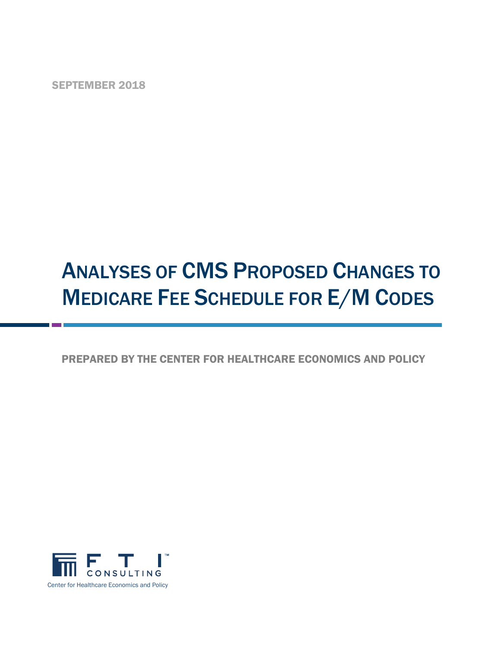SEPTEMBER 2018

# ANALYSES OF CMS PROPOSED CHANGES TO **MEDICARE FEE SCHEDULE FOR E/M CODES**

# PREPARED BY THE CENTER FOR HEALTHCARE ECONOMICS AND POLICY

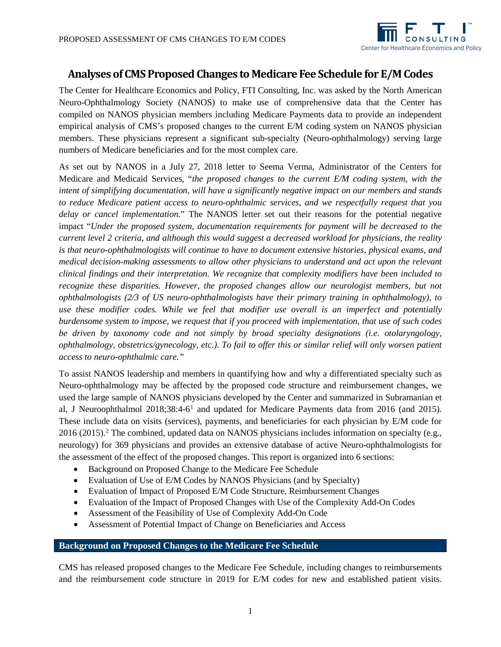

# **Analyses of CMS Proposed Changes to Medicare Fee Schedule for E/M Codes**

The Center for Healthcare Economics and Policy, FTI Consulting, Inc. was asked by the North American Neuro-Ophthalmology Society (NANOS) to make use of comprehensive data that the Center has compiled on NANOS physician members including Medicare Payments data to provide an independent empirical analysis of CMS's proposed changes to the current E/M coding system on NANOS physician members. These physicians represent a significant sub-specialty (Neuro-ophthalmology) serving large numbers of Medicare beneficiaries and for the most complex care.

As set out by NANOS in a July 27, 2018 letter to Seema Verma, Administrator of the Centers for Medicare and Medicaid Services, "*the proposed changes to the current E/M coding system, with the intent of simplifying documentation, will have a significantly negative impact on our members and stands to reduce Medicare patient access to neuro-ophthalmic services, and we respectfully request that you delay or cancel implementation.*" The NANOS letter set out their reasons for the potential negative impact "*Under the proposed system, documentation requirements for payment will be decreased to the current level 2 criteria, and although this would suggest a decreased workload for physicians, the reality is that neuro-ophthalmologists will continue to have to document extensive histories, physical exams, and medical decision-making assessments to allow other physicians to understand and act upon the relevant clinical findings and their interpretation. We recognize that complexity modifiers have been included to recognize these disparities. However, the proposed changes allow our neurologist members, but not ophthalmologists (2/3 of US neuro-ophthalmologists have their primary training in ophthalmology), to use these modifier codes. While we feel that modifier use overall is an imperfect and potentially burdensome system to impose, we request that if you proceed with implementation, that use of such codes be driven by taxonomy code and not simply by broad specialty designations (i.e. otolaryngology, ophthalmology, obstetrics/gynecology, etc.). To fail to offer this or similar relief will only worsen patient access to neuro-ophthalmic care."*

To assist NANOS leadership and members in quantifying how and why a differentiated specialty such as Neuro-ophthalmology may be affected by the proposed code structure and reimbursement changes, we used the large sample of NANOS physicians developed by the Center and summarized in Subramanian et al, J Neuroophthalmol  $2018;38:4-6<sup>1</sup>$  $2018;38:4-6<sup>1</sup>$  $2018;38:4-6<sup>1</sup>$  and updated for Medicare Payments data from 2016 (and 2015). These include data on visits (services), payments, and beneficiaries for each physician by E/M code for 2016 (2015).<sup>2</sup> The combined, updated data on NANOS physicians includes information on specialty (e.g., neurology) for 369 physicians and provides an extensive database of active Neuro-ophthalmologists for the assessment of the effect of the proposed changes. This report is organized into 6 sections:

- Background on Proposed Change to the Medicare Fee Schedule
- Evaluation of Use of E/M Codes by NANOS Physicians (and by Specialty)
- Evaluation of Impact of Proposed E/M Code Structure, Reimbursement Changes
- Evaluation of the Impact of Proposed Changes with Use of the Complexity Add-On Codes
- Assessment of the Feasibility of Use of Complexity Add-On Code
- Assessment of Potential Impact of Change on Beneficiaries and Access

## **Background on Proposed Changes to the Medicare Fee Schedule**

CMS has released proposed changes to the Medicare Fee Schedule, including changes to reimbursements and the reimbursement code structure in 2019 for E/M codes for new and established patient visits.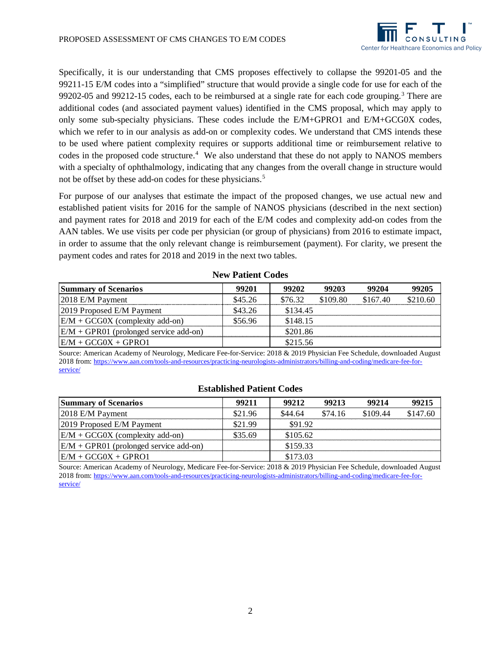

Specifically, it is our understanding that CMS proposes effectively to collapse the 99201-05 and the 99211-15 E/M codes into a "simplified" structure that would provide a single code for use for each of the 99202-05 and 99212-15 codes, each to be reimbursed at a single rate for each code grouping.<sup>[3](#page-11-2)</sup> There are additional codes (and associated payment values) identified in the CMS proposal, which may apply to only some sub-specialty physicians. These codes include the E/M+GPRO1 and E/M+GCG0X codes, which we refer to in our analysis as add-on or complexity codes. We understand that CMS intends these to be used where patient complexity requires or supports additional time or reimbursement relative to codes in the proposed code structure.<sup>[4](#page-11-3)</sup> We also understand that these do not apply to NANOS members with a specialty of ophthalmology, indicating that any changes from the overall change in structure would not be offset by these add-on codes for these physicians. [5](#page-11-4)

For purpose of our analyses that estimate the impact of the proposed changes, we use actual new and established patient visits for 2016 for the sample of NANOS physicians (described in the next section) and payment rates for 2018 and 2019 for each of the E/M codes and complexity add-on codes from the AAN tables. We use visits per code per physician (or group of physicians) from 2016 to estimate impact, in order to assume that the only relevant change is reimbursement (payment). For clarity, we present the payment codes and rates for 2018 and 2019 in the next two tables.

| <b>Summary of Scenarios</b>               | 99201   | 99202    | 99203    | 99204    | 99205    |
|-------------------------------------------|---------|----------|----------|----------|----------|
| $2018$ E/M Payment                        | \$45.26 | \$76.32  | \$109.80 | \$167.40 | \$210.60 |
| 2019 Proposed E/M Payment                 | \$43.26 | \$134.45 |          |          |          |
| $ E/M + GCG0X$ (complexity add-on)        | \$56.96 | \$148.15 |          |          |          |
| $ E/M + GPR01$ (prolonged service add-on) |         | \$201.86 |          |          |          |
| $E/M + GCG0X + GPRO1$                     |         | \$215.56 |          |          |          |

#### **New Patient Codes**

Source: American Academy of Neurology, Medicare Fee-for-Service: 2018 & 2019 Physician Fee Schedule, downloaded August 2018 from[: https://www.aan.com/tools-and-resources/practicing-neurologists-administrators/billing-and-coding/medicare-fee-for](https://www.aan.com/tools-and-resources/practicing-neurologists-administrators/billing-and-coding/medicare-fee-for-service/)[service/](https://www.aan.com/tools-and-resources/practicing-neurologists-administrators/billing-and-coding/medicare-fee-for-service/)

#### **Established Patient Codes**

| <b>Summary of Scenarios</b>               | 99211   | 99212    | 99213   | 99214    | 99215    |
|-------------------------------------------|---------|----------|---------|----------|----------|
| $2018$ E/M Payment                        | \$21.96 | \$44.64  | \$74.16 | \$109.44 | \$147.60 |
| 2019 Proposed E/M Payment                 | \$21.99 | \$9192   |         |          |          |
| $ E/M + GCG0X$ (complexity add-on)        | \$35.69 | \$105.62 |         |          |          |
| $ E/M + GPR01$ (prolonged service add-on) |         | \$159.33 |         |          |          |
| $E/M + GCG0X + GPRO1$                     |         | \$173.03 |         |          |          |

Source: American Academy of Neurology, Medicare Fee-for-Service: 2018 & 2019 Physician Fee Schedule, downloaded August 2018 from[: https://www.aan.com/tools-and-resources/practicing-neurologists-administrators/billing-and-coding/medicare-fee-for](https://www.aan.com/tools-and-resources/practicing-neurologists-administrators/billing-and-coding/medicare-fee-for-service/)[service/](https://www.aan.com/tools-and-resources/practicing-neurologists-administrators/billing-and-coding/medicare-fee-for-service/)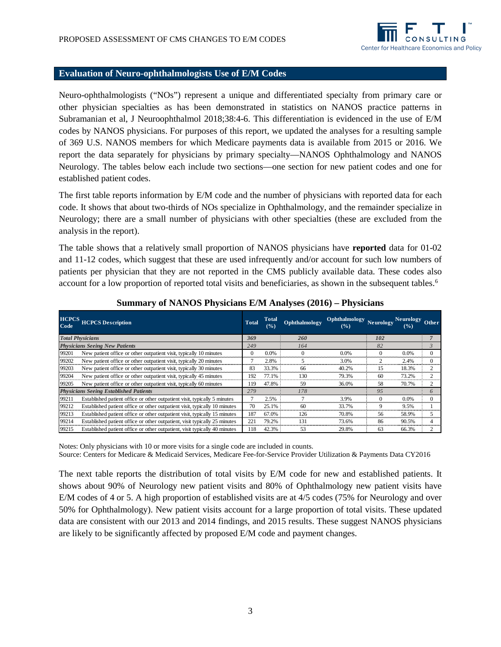

#### **Evaluation of Neuro-ophthalmologists Use of E/M Codes**

Neuro-ophthalmologists ("NOs") represent a unique and differentiated specialty from primary care or other physician specialties as has been demonstrated in statistics on NANOS practice patterns in Subramanian et al, J Neuroophthalmol 2018;38:4-6. This differentiation is evidenced in the use of E/M codes by NANOS physicians. For purposes of this report, we updated the analyses for a resulting sample of 369 U.S. NANOS members for which Medicare payments data is available from 2015 or 2016. We report the data separately for physicians by primary specialty—NANOS Ophthalmology and NANOS Neurology. The tables below each include two sections—one section for new patient codes and one for established patient codes.

The first table reports information by E/M code and the number of physicians with reported data for each code. It shows that about two-thirds of NOs specialize in Ophthalmology, and the remainder specialize in Neurology; there are a small number of physicians with other specialties (these are excluded from the analysis in the report).

The table shows that a relatively small proportion of NANOS physicians have **reported** data for 01-02 and 11-12 codes, which suggest that these are used infrequently and/or account for such low numbers of patients per physician that they are not reported in the CMS publicly available data. These codes also account for a low proportion of reported total visits and beneficiaries, as shown in the subsequent tables.<sup>[6](#page-11-5)</sup>

| <b>HCPCS</b><br><b>HCPCS Description</b><br>Code                                    | <b>Total</b> | Total<br>$\frac{9}{6}$ | Ophthalmology | Ophthalmology<br>(9/0) | <b>Neurology</b> | <b>Neurology</b><br>(%) | Other          |
|-------------------------------------------------------------------------------------|--------------|------------------------|---------------|------------------------|------------------|-------------------------|----------------|
| <b>Total Physicians</b>                                                             | 369          |                        | 260           |                        | 102              |                         |                |
| <b>Physicians Seeing New Patients</b>                                               | 249          |                        | 164           |                        | 82               |                         | $\mathfrak{Z}$ |
| 99201<br>New patient office or other outpatient visit, typically 10 minutes         | 0            | $0.0\%$                |               | 0.0%                   |                  | 0.0%                    |                |
| 99202<br>New patient office or other outpatient visit, typically 20 minutes         |              | 2.8%                   |               | 3.0%                   |                  | 2.4%                    |                |
| 99203<br>New patient office or other outpatient visit, typically 30 minutes         | 83           | 33.3%                  | 66            | 40.2%                  | 15               | 18.3%                   |                |
| New patient office or other outpatient visit, typically 45 minutes<br>99204         | 192          | 77.1%                  | 130           | 79.3%                  | 60               | 73.2%                   |                |
| 99205<br>New patient office or other outpatient visit, typically 60 minutes         | 119          | 47.8%                  | .59           | 36.0%                  | 58               | 70.7%                   | 2              |
| <b>Physicians Seeing Established Patients</b>                                       | 279          |                        | 178           |                        | 95               |                         | 6              |
| 99211<br>Established patient office or other outpatient visit, typically 5 minutes  |              | 2.5%                   |               | 3.9%                   | 0                | 0.0%                    |                |
| Established patient office or other outpatient visit, typically 10 minutes<br>99212 | 70           | 25.1%                  | 60            | 33.7%                  | 9                | 9.5%                    |                |
| Established patient office or other outpatient visit, typically 15 minutes<br>99213 | 187          | 67.0%                  | 126           | 70.8%                  | 56               | 58.9%                   |                |
| Established patient office or other outpatient, visit typically 25 minutes<br>99214 | 221          | 79.2%                  | 131           | 73.6%                  | 86               | 90.5%                   |                |
| 99215<br>Established patient office or other outpatient, visit typically 40 minutes | 118          | 42.3%                  | 53            | 29.8%                  | 63               | 66.3%                   |                |

## **Summary of NANOS Physicians E/M Analyses (2016) – Physicians**

Notes: Only physicians with 10 or more visits for a single code are included in counts.

Source: Centers for Medicare & Medicaid Services, Medicare Fee-for-Service Provider Utilization & Payments Data CY2016

The next table reports the distribution of total visits by E/M code for new and established patients. It shows about 90% of Neurology new patient visits and 80% of Ophthalmology new patient visits have E/M codes of 4 or 5. A high proportion of established visits are at 4/5 codes (75% for Neurology and over 50% for Ophthalmology). New patient visits account for a large proportion of total visits. These updated data are consistent with our 2013 and 2014 findings, and 2015 results. These suggest NANOS physicians are likely to be significantly affected by proposed E/M code and payment changes.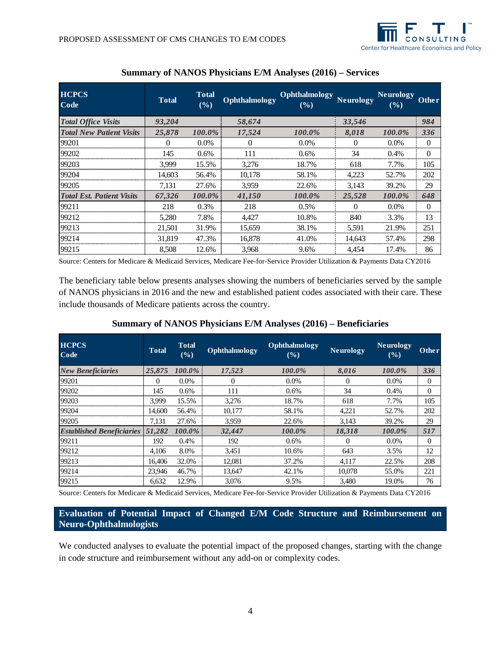

| <b>HCPCS</b><br><b>Code</b>      | <b>Total</b> | <b>Total</b><br>(9/0) | Ophthalmology | Ophthalmology<br>$($ %) | <b>Neurology</b> | <b>Neurology</b><br>(%) | <b>Other</b> |
|----------------------------------|--------------|-----------------------|---------------|-------------------------|------------------|-------------------------|--------------|
| <b>Total Office Visits</b>       | 93,204       |                       | 58,674        |                         | 33,546           |                         | 984          |
| <b>Total New Patient Visits</b>  | 25,878       | 100.0%                | 17,524        | 100.0%                  | 8,018            | 100.0%                  | 336          |
| 99201                            | 0            | $0.0\%$               | 0             | $0.0\%$                 | 0                | $0.0\%$                 | $\Omega$     |
| 99202                            | 145          | $0.6\%$               | 111           | $0.6\%$                 | 34               | $0.4\%$                 | $\theta$     |
| 99203                            | 3.999        | 15.5%                 | 3,276         | 18.7%                   | 618              | 7.7%                    | 105          |
| 99204                            | 14.603       | 56.4%                 | 10,178        | 58.1%                   | 4.223            | 52.7%                   | 202          |
| 99205                            | 7,131        | 27.6%                 | 3,959         | 22.6%                   | 3,143            | 39.2%                   | 29           |
| <b>Total Est. Patient Visits</b> | 67,326       | 100.0%                | 41,150        | 100.0%                  | 25,528           | 100.0%                  | 648          |
| 99211                            | 218          | 0.3%                  | 218           | 0.5%                    | $\Omega$         | $0.0\%$                 | $\Omega$     |
| 99212                            | 5,280        | 7.8%                  | 4,427         | 10.8%                   | 840              | 3.3%                    | 13           |
| 99213                            | 21.501       | 31.9%                 | 15,659        | 38.1%                   | 5,591            | 21.9%                   | 251          |
| 99214                            | 31,819       | 47.3%                 | 16,878        | 41.0%                   | 14.643           | 57.4%                   | 298          |
| 99215                            | 8.508        | 12.6%                 | 3.968         | 9.6%                    | 4.454            | 17.4%                   | 86           |

# **Summary of NANOS Physicians E/M Analyses (2016) – Services**

Source: Centers for Medicare & Medicaid Services, Medicare Fee-for-Service Provider Utilization & Payments Data CY2016

The beneficiary table below presents analyses showing the numbers of beneficiaries served by the sample of NANOS physicians in 2016 and the new and established patient codes associated with their care. These include thousands of Medicare patients across the country.

**Summary of NANOS Physicians E/M Analyses (2016) – Beneficiaries**

| <b>HCPCS</b><br>Code             | <b>Total</b> | <b>Total</b><br>(%) | Ophthalmology | Ophthalmology<br>(%) | <b>Neurology</b> | <b>Neurology</b><br>(9/6) | Other    |
|----------------------------------|--------------|---------------------|---------------|----------------------|------------------|---------------------------|----------|
| <b>New Beneficiaries</b>         | 25,875       | $100.0\%$           | 17,523        | $100.0\%$            | 8,016            | 100.0%                    | 336      |
| 99201                            | $\Omega$     | $0.0\%$             | $\Omega$      | $0.0\%$              | $\Omega$         | $0.0\%$                   | $\Omega$ |
| 99202                            | 145          | 0.6%                | 111           | $0.6\%$              | 34               | 0.4%                      | $\Omega$ |
| 99203                            | 3.999        | 15.5%               | 3,276         | 18.7%                | 618              | 7.7%                      | 105      |
| 99204                            | 14.600       | 56.4%               | 10,177        | 58.1%                | 4,221            | 52.7%                     | 202      |
| 99205                            | 7.131        | 27.6%               | 3.959         | 22.6%                | 3.143            | 39.2%                     | 29       |
| <b>Established Beneficiaries</b> | 51,282       | $100.0\%$           | 32,447        | 100.0%               | 18,318           | 100.0%                    | 517      |
| 99211                            | 192          | 0.4%                | 192           | 0.6%                 |                  | $0.0\%$                   | $\Omega$ |
| 99212                            | 4.106        | 8.0%                | 3,451         | 10.6%                | 643              | 3.5%                      | 12       |
| 99213                            | 16.406       | 32.0%               | 12,081        | 37.2%                | 4.117            | 22.5%                     | 208      |
| 99214                            | 23.946       | 46.7%               | 13,647        | 42.1%                | 10,078           | 55.0%                     | 221      |
| 99215                            | 6.632        | 12.9%               | 3.076         | 9.5%                 | 3.480            | 19.0%                     | 76       |

Source: Centers for Medicare & Medicaid Services, Medicare Fee-for-Service Provider Utilization & Payments Data CY2016

# **Evaluation of Potential Impact of Changed E/M Code Structure and Reimbursement on Neuro-Ophthalmologists**

We conducted analyses to evaluate the potential impact of the proposed changes, starting with the change in code structure and reimbursement without any add-on or complexity codes.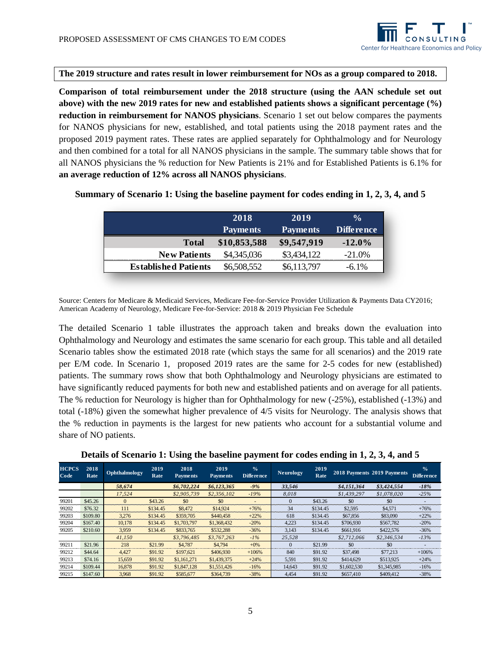

#### **The 2019 structure and rates result in lower reimbursement for NOs as a group compared to 2018.**

**Comparison of total reimbursement under the 2018 structure (using the AAN schedule set out above) with the new 2019 rates for new and established patients shows a significant percentage (%) reduction in reimbursement for NANOS physicians**. Scenario 1 set out below compares the payments for NANOS physicians for new, established, and total patients using the 2018 payment rates and the proposed 2019 payment rates. These rates are applied separately for Ophthalmology and for Neurology and then combined for a total for all NANOS physicians in the sample. The summary table shows that for all NANOS physicians the % reduction for New Patients is 21% and for Established Patients is 6.1% for **an average reduction of 12% across all NANOS physicians**.

|                             | 2018            | 2019            | $\frac{0}{0}$ |
|-----------------------------|-----------------|-----------------|---------------|
|                             | <b>Payments</b> | <b>Payments</b> | Difference    |
| <b>Total</b>                | \$10,853,588    | \$9,547,919     | $-12.0\%$     |
| <b>New Patients</b>         | \$4,345,036     | \$3,434,122     | $-21.0\%$     |
| <b>Established Patients</b> | \$6,508,552     | \$6,113,797     | $-6.1\%$      |

# **Summary of Scenario 1: Using the baseline payment for codes ending in 1, 2, 3, 4, and 5**

Source: Centers for Medicare & Medicaid Services, Medicare Fee-for-Service Provider Utilization & Payments Data CY2016; American Academy of Neurology, Medicare Fee-for-Service: 2018 & 2019 Physician Fee Schedule

The detailed Scenario 1 table illustrates the approach taken and breaks down the evaluation into Ophthalmology and Neurology and estimates the same scenario for each group. This table and all detailed Scenario tables show the estimated 2018 rate (which stays the same for all scenarios) and the 2019 rate per E/M code. In Scenario 1, proposed 2019 rates are the same for 2-5 codes for new (established) patients. The summary rows show that both Ophthalmology and Neurology physicians are estimated to have significantly reduced payments for both new and established patients and on average for all patients. The % reduction for Neurology is higher than for Ophthalmology for new (-25%), established (-13%) and total (-18%) given the somewhat higher prevalence of 4/5 visits for Neurology. The analysis shows that the % reduction in payments is the largest for new patients who account for a substantial volume and share of NO patients.

| Details of Scenario 1: Using the baseline payment for codes ending in 1, 2, 3, 4, and 5 |  |  |  |  |
|-----------------------------------------------------------------------------------------|--|--|--|--|
|                                                                                         |  |  |  |  |

| <b>HCPCS</b><br>Code | 2018<br>Rate | Ophthalmology | 2019<br>Rate | 2018<br><b>Payments</b> | 2019<br><b>Payments</b> | $\frac{1}{2}$<br><b>Difference</b> | <b>Neurology</b> | 2019<br>Rate |             | 2018 Payments 2019 Payments | $\frac{0}{6}$<br><b>Difference</b> |
|----------------------|--------------|---------------|--------------|-------------------------|-------------------------|------------------------------------|------------------|--------------|-------------|-----------------------------|------------------------------------|
|                      |              | 58,674        |              | \$6,702,224             | \$6,123,365             | $-9%$                              | 33,546           |              | \$4,151,364 | \$3,424,554                 | $-18%$                             |
|                      |              | 17,524        |              | \$2,905,739             | \$2,356,102             | $-19%$                             | 8,018            |              | \$1,439,297 | \$1,078,020                 | $-25%$                             |
| 99201                | \$45.26      | $\Omega$      | \$43.26      | \$0                     | \$0                     | $\overline{a}$                     | $\Omega$         | \$43.26      | \$0         | \$0                         |                                    |
| 99202                | \$76.32      | 111           | \$134.45     | \$8,472                 | \$14,924                | $+76%$                             | 34               | \$134.45     | \$2,595     | \$4.571                     | $+76%$                             |
| 99203                | \$109.80     | 3.276         | \$134.45     | \$359,705               | \$440,458               | $+22%$                             | 618              | \$134.45     | \$67,856    | \$83,090                    | $+22%$                             |
| 99204                | \$167.40     | 10.178        | \$134.45     | \$1,703,797             | \$1,368,432             | $-20%$                             | 4,223            | \$134.45     | \$706,930   | \$567.782                   | $-20%$                             |
| 99205                | \$210.60     | 3.959         | \$134.45     | \$833,765               | \$532,288               | $-36%$                             | 3,143            | \$134.45     | \$661.916   | \$422,576                   | $-36%$                             |
|                      |              | 41.150        |              | \$3,796,485             | \$3,767,263             | $-1\%$                             | 25,528           |              | \$2,712,066 | \$2,346,534                 | $-13%$                             |
| 99211                | \$21.96      | 218           | \$21.99      | \$4,787                 | \$4,794                 | $+0\%$                             | $\Omega$         | \$21.99      | \$0         | \$0                         | $\overline{\phantom{a}}$           |
| 99212                | \$44.64      | 4.427         | \$91.92      | \$197,621               | \$406,930               | $+106%$                            | 840              | \$91.92      | \$37,498    | \$77.213                    | $+106%$                            |
| 99213                | \$74.16      | 15,659        | \$91.92      | \$1,161,271             | \$1,439,375             | $+24%$                             | 5,591            | \$91.92      | \$414,629   | \$513.925                   | $+24%$                             |
| 99214                | \$109.44     | 16,878        | \$91.92      | \$1,847,128             | \$1,551,426             | $-16%$                             | 14.643           | \$91.92      | \$1,602,530 | \$1,345,985                 | $-16%$                             |
| 99215                | \$147.60     | 3.968         | \$91.92      | \$585,677               | \$364,739               | $-38%$                             | 4.454            | \$91.92      | \$657,410   | \$409,412                   | $-38%$                             |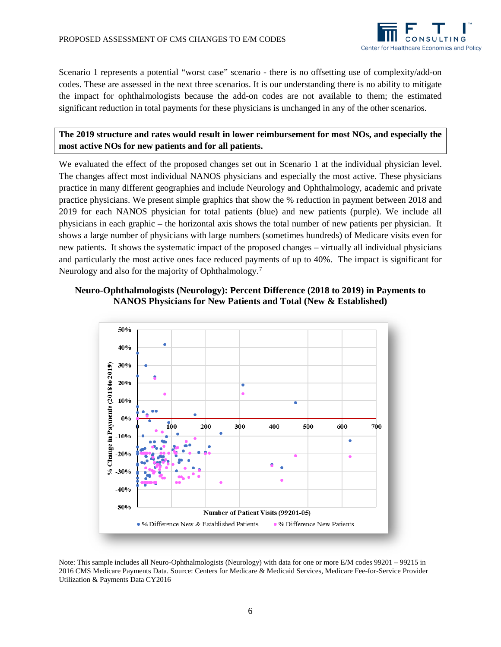

Scenario 1 represents a potential "worst case" scenario - there is no offsetting use of complexity/add-on codes. These are assessed in the next three scenarios. It is our understanding there is no ability to mitigate the impact for ophthalmologists because the add-on codes are not available to them; the estimated significant reduction in total payments for these physicians is unchanged in any of the other scenarios.

# **The 2019 structure and rates would result in lower reimbursement for most NOs, and especially the most active NOs for new patients and for all patients.**

We evaluated the effect of the proposed changes set out in Scenario 1 at the individual physician level. The changes affect most individual NANOS physicians and especially the most active. These physicians practice in many different geographies and include Neurology and Ophthalmology, academic and private practice physicians. We present simple graphics that show the % reduction in payment between 2018 and 2019 for each NANOS physician for total patients (blue) and new patients (purple). We include all physicians in each graphic – the horizontal axis shows the total number of new patients per physician. It shows a large number of physicians with large numbers (sometimes hundreds) of Medicare visits even for new patients. It shows the systematic impact of the proposed changes – virtually all individual physicians and particularly the most active ones face reduced payments of up to 40%. The impact is significant for Neurology and also for the majority of Ophthalmology.<sup>[7](#page-11-6)</sup>

# **Neuro-Ophthalmologists (Neurology): Percent Difference (2018 to 2019) in Payments to NANOS Physicians for New Patients and Total (New & Established)**



Note: This sample includes all Neuro-Ophthalmologists (Neurology) with data for one or more E/M codes 99201 – 99215 in 2016 CMS Medicare Payments Data. Source: Centers for Medicare & Medicaid Services, Medicare Fee-for-Service Provider Utilization & Payments Data CY2016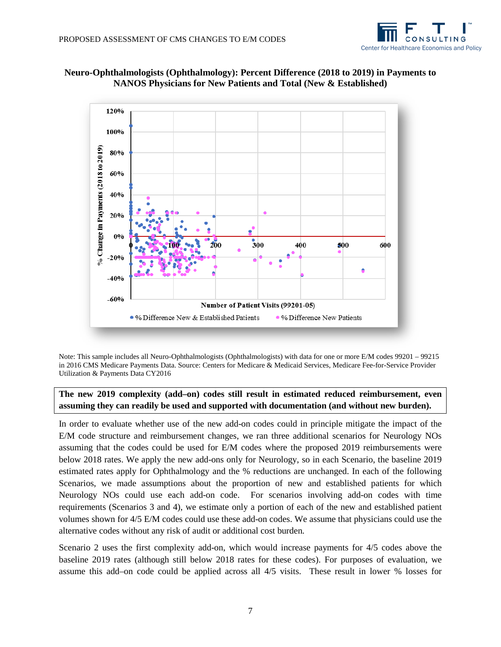



**Neuro-Ophthalmologists (Ophthalmology): Percent Difference (2018 to 2019) in Payments to NANOS Physicians for New Patients and Total (New & Established)**

Note: This sample includes all Neuro-Ophthalmologists (Ophthalmologists) with data for one or more E/M codes 99201 – 99215 in 2016 CMS Medicare Payments Data. Source: Centers for Medicare & Medicaid Services, Medicare Fee-for-Service Provider Utilization & Payments Data CY2016

**The new 2019 complexity (add–on) codes still result in estimated reduced reimbursement, even assuming they can readily be used and supported with documentation (and without new burden).**

In order to evaluate whether use of the new add-on codes could in principle mitigate the impact of the E/M code structure and reimbursement changes, we ran three additional scenarios for Neurology NOs assuming that the codes could be used for E/M codes where the proposed 2019 reimbursements were below 2018 rates. We apply the new add-ons only for Neurology, so in each Scenario, the baseline 2019 estimated rates apply for Ophthalmology and the % reductions are unchanged. In each of the following Scenarios, we made assumptions about the proportion of new and established patients for which Neurology NOs could use each add-on code. For scenarios involving add-on codes with time requirements (Scenarios 3 and 4), we estimate only a portion of each of the new and established patient volumes shown for 4/5 E/M codes could use these add-on codes. We assume that physicians could use the alternative codes without any risk of audit or additional cost burden.

Scenario 2 uses the first complexity add-on, which would increase payments for 4/5 codes above the baseline 2019 rates (although still below 2018 rates for these codes). For purposes of evaluation, we assume this add–on code could be applied across all 4/5 visits. These result in lower % losses for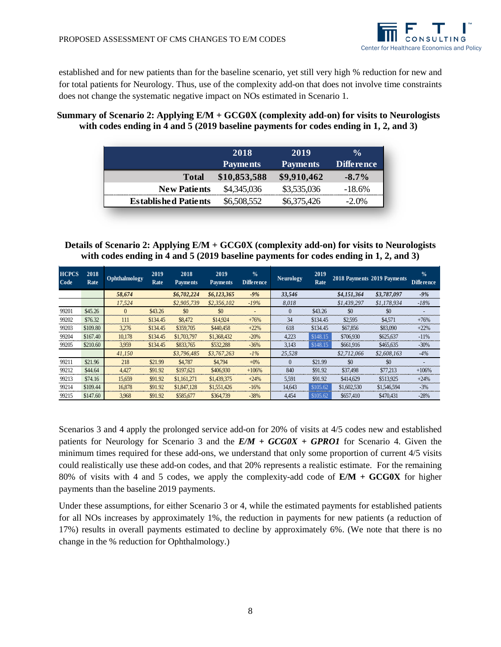established and for new patients than for the baseline scenario, yet still very high % reduction for new and for total patients for Neurology. Thus, use of the complexity add-on that does not involve time constraints does not change the systematic negative impact on NOs estimated in Scenario 1.

# **Summary of Scenario 2: Applying E/M + GCG0X (complexity add-on) for visits to Neurologists with codes ending in 4 and 5 (2019 baseline payments for codes ending in 1, 2, and 3)**

|                             | 2018            | 2019            | $\frac{0}{0}$     |
|-----------------------------|-----------------|-----------------|-------------------|
|                             | <b>Payments</b> | <b>Payments</b> | <b>Difference</b> |
| <b>Total</b>                | \$10,853,588    | \$9,910,462     | $-8.7\%$          |
| <b>New Patients</b>         | \$4,345,036     | \$3,535,036     | $-18.6\%$         |
| <b>Established Patients</b> | \$6,508,552     | \$6,375,426     | $-2.0\%$          |

# **Details of Scenario 2: Applying E/M + GCG0X (complexity add-on) for visits to Neurologists with codes ending in 4 and 5 (2019 baseline payments for codes ending in 1, 2, and 3)**

| <b>HCPCS</b><br>Code | 2018<br>Rate | Ophthalmology | 2019<br>Rate | 2018<br><b>Payments</b> | 2019<br><b>Payments</b> | $\frac{0}{0}$<br><b>Difference</b> | Neurology | 2019<br>Rate |             | 2018 Payments 2019 Payments | $\frac{0}{0}$<br>Difference |
|----------------------|--------------|---------------|--------------|-------------------------|-------------------------|------------------------------------|-----------|--------------|-------------|-----------------------------|-----------------------------|
|                      |              | 58,674        |              | \$6,702,224             | \$6,123,365             | $-9%$                              | 33,546    |              | \$4,151,364 | \$3,787,097                 | $-9%$                       |
|                      |              | 17,524        |              | \$2,905,739             | \$2,356,102             | $-19%$                             | 8,018     |              | \$1,439,297 | \$1.178.934                 | $-18%$                      |
| 99201                | \$45.26      | $\theta$      | \$43.26      | \$0                     | \$0                     | $\overline{\phantom{0}}$           | $\Omega$  | \$43.26      | \$0         | \$0                         |                             |
| 99202                | \$76.32      | 111           | \$134.45     | \$8,472                 | \$14.924                | $+76%$                             | 34        | \$134.45     | \$2,595     | \$4,571                     | $+76%$                      |
| 99203                | \$109.80     | 3,276         | \$134.45     | \$359,705               | \$440,458               | $+22%$                             | 618       | \$134.45     | \$67,856    | \$83,090                    | $+22%$                      |
| 99204                | \$167.40     | 10,178        | \$134.45     | \$1,703,797             | \$1,368,432             | $-20%$                             | 4,223     | \$148.15     | \$706,930   | \$625,637                   | $-11%$                      |
| 99205                | \$210.60     | 3.959         | \$134.45     | \$833,765               | \$532,288               | $-36%$                             | 3,143     | \$148.15     | \$661.916   | \$465,635                   | $-30%$                      |
|                      |              | 41.150        |              | \$3,796,485             | \$3,767,263             | $-1\%$                             | 25.528    |              | \$2,712,066 | \$2,608,163                 | $-4%$                       |
| 99211                | \$21.96      | 218           | \$21.99      | \$4,787                 | \$4.794                 | $+0\%$                             | $\Omega$  | \$21.99      | \$0         | \$0                         |                             |
| 99212                | \$44.64      | 4.427         | \$91.92      | \$197,621               | \$406,930               | $+106%$                            | 840       | \$91.92      | \$37,498    | \$77.213                    | $+106%$                     |
| 99213                | \$74.16      | 15,659        | \$91.92      | \$1,161,271             | \$1,439,375             | $+24%$                             | 5,591     | \$91.92      | \$414,629   | \$513,925                   | $+24%$                      |
| 99214                | \$109.44     | 16,878        | \$91.92      | \$1,847,128             | \$1,551,426             | $-16%$                             | 14.643    | \$105.62     | \$1,602,530 | \$1,546,594                 | $-3%$                       |
| 99215                | \$147.60     | 3.968         | \$91.92      | \$585,677               | \$364,739               | $-38%$                             | 4,454     | \$105.62     | \$657,410   | \$470,431                   | $-28%$                      |

Scenarios 3 and 4 apply the prolonged service add-on for 20% of visits at 4/5 codes new and established patients for Neurology for Scenario 3 and the *E/M + GCG0X + GPRO1* for Scenario 4. Given the minimum times required for these add-ons, we understand that only some proportion of current 4/5 visits could realistically use these add-on codes, and that 20% represents a realistic estimate. For the remaining 80% of visits with 4 and 5 codes, we apply the complexity-add code of **E/M + GCG0X** for higher payments than the baseline 2019 payments.

Under these assumptions, for either Scenario 3 or 4, while the estimated payments for established patients for all NOs increases by approximately 1%, the reduction in payments for new patients (a reduction of 17%) results in overall payments estimated to decline by approximately 6%. (We note that there is no change in the % reduction for Ophthalmology.)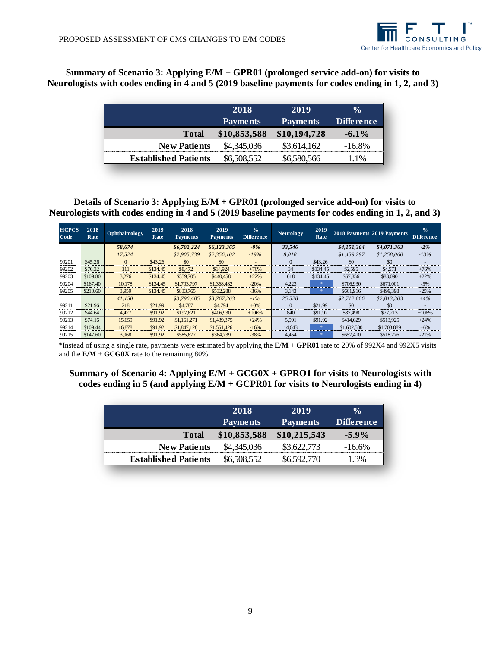

# **Summary of Scenario 3: Applying E/M + GPR01 (prolonged service add-on) for visits to Neurologists with codes ending in 4 and 5 (2019 baseline payments for codes ending in 1, 2, and 3)**

|                             | 2018            | 2019            | $\frac{0}{0}$     |
|-----------------------------|-----------------|-----------------|-------------------|
|                             | <b>Payments</b> | <b>Payments</b> | <b>Difference</b> |
| <b>Total</b>                | \$10,853,588    | \$10,194,728    | $-6.1\%$          |
| <b>New Patients</b>         | \$4,345,036     | \$3,614,162     | $-16.8\%$         |
| <b>Established Patients</b> | \$6,508,552     | \$6,580,566     | 1%                |

**Details of Scenario 3: Applying E/M + GPR01 (prolonged service add-on) for visits to Neurologists with codes ending in 4 and 5 (2019 baseline payments for codes ending in 1, 2, and 3)**

| <b>HCPCS</b><br>Code | 2018<br>Rate | Ophthalmology | 2019<br>Rate | 2018<br><b>Payments</b> | 2019<br><b>Payments</b> | $\frac{0}{0}$<br><b>Difference</b> | <b>Neurology</b> | 2019<br>Rate |             | 2018 Payments 2019 Payments | $\frac{0}{2}$<br><b>Difference</b> |
|----------------------|--------------|---------------|--------------|-------------------------|-------------------------|------------------------------------|------------------|--------------|-------------|-----------------------------|------------------------------------|
|                      |              | 58,674        |              | \$6,702,224             | \$6,123,365             | $-9%$                              | 33.546           |              | \$4,151,364 | \$4,071,363                 | $-2\%$                             |
|                      |              | 17.524        |              | \$2,905,739             | \$2,356,102             | $-19%$                             | 8.018            |              | \$1,439,297 | \$1,258,060                 | $-13%$                             |
| 99201                | \$45.26      | $\Omega$      | \$43.26      | \$0                     | \$0                     | $\overline{\phantom{a}}$           | $\Omega$         | \$43.26      | \$0         | \$0                         |                                    |
| 99202                | \$76.32      | 111           | \$134.45     | \$8,472                 | \$14.924                | $+76%$                             | 34               | \$134.45     | \$2,595     | \$4.571                     | $+76%$                             |
| 99203                | \$109.80     | 3.276         | \$134.45     | \$359,705               | \$440,458               | $+22%$                             | 618              | \$134.45     | \$67,856    | \$83,090                    | $+22%$                             |
| 99204                | \$167.40     | 10.178        | \$134.45     | \$1,703,797             | \$1,368,432             | $-20%$                             | 4.223            |              | \$706.930   | \$671,001                   | $-5%$                              |
| 99205                | \$210.60     | 3.959         | \$134.45     | \$833,765               | \$532,288               | $-36%$                             | 3,143            |              | \$661,916   | \$499,398                   | $-25%$                             |
|                      |              | 41.150        |              | \$3,796,485             | \$3,767,263             | $-1\%$                             | 25.528           |              | \$2,712,066 | \$2,813,303                 | $+4%$                              |
| 99211                | \$21.96      | 218           | \$21.99      | \$4,787                 | \$4,794                 | $+0\%$                             | $\Omega$         | \$21.99      | \$0         | \$0                         |                                    |
| 99212                | \$44.64      | 4.427         | \$91.92      | \$197,621               | \$406,930               | $+106%$                            | 840              | \$91.92      | \$37,498    | \$77,213                    | $+106%$                            |
| 99213                | \$74.16      | 15.659        | \$91.92      | \$1,161,271             | \$1,439,375             | $+24%$                             | 5.591            | \$91.92      | \$414,629   | \$513.925                   | $+24%$                             |
| 99214                | \$109.44     | 16,878        | \$91.92      | \$1,847,128             | \$1,551,426             | $-16%$                             | 14.643           |              | \$1,602,530 | \$1,703,889                 | $+6%$                              |
| 99215                | \$147.60     | 3.968         | \$91.92      | \$585,677               | \$364,739               | $-38%$                             | 4.454            |              | \$657,410   | \$518,276                   | $-21%$                             |

\*Instead of using a single rate, payments were estimated by applying the **E/M + GPR01** rate to 20% of 992X4 and 992X5 visits and the **E/M + GCG0X** rate to the remaining 80%.

**Summary of Scenario 4: Applying E/M + GCG0X + GPRO1 for visits to Neurologists with codes ending in 5 (and applying E/M + GCPR01 for visits to Neurologists ending in 4)**

|                             | 2018<br><b>Payments</b> | 2019<br><b>Payments</b> | $\frac{0}{0}$<br><b>Difference</b> |
|-----------------------------|-------------------------|-------------------------|------------------------------------|
| <b>Total</b>                | \$10,853,588            | \$10,215,543            | $-5.9\%$                           |
| <b>New Patients</b>         | \$4,345,036             | \$3,622,773             | $-16.6\%$                          |
| <b>Established Patients</b> | \$6,508,552             | \$6,592,770             | $\cdot$ .3%                        |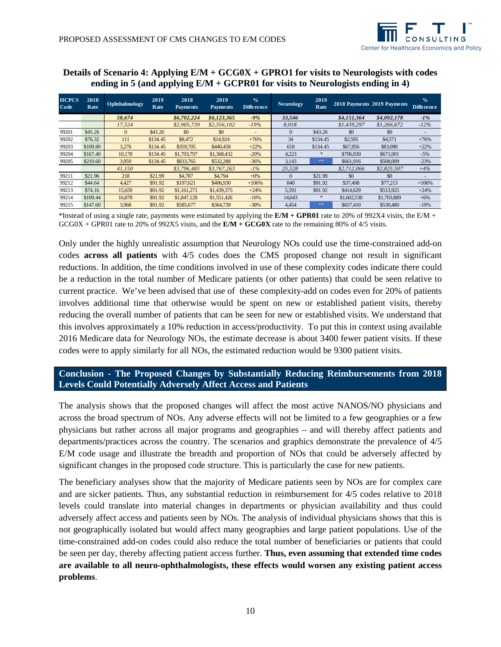

# **Details of Scenario 4: Applying E/M + GCG0X + GPRO1 for visits to Neurologists with codes ending in 5 (and applying E/M + GCPR01 for visits to Neurologists ending in 4)**

| <b>HCPCS</b><br>Code | 2018<br>Rate | <b>Ophthalmology</b> | 2019<br>Rate | 2018<br><b>Payments</b> | 2019<br><b>Payments</b> | $\frac{1}{2}$<br><b>Difference</b> | <b>Neurology</b> | 2019<br>Rate |             | 2018 Payments 2019 Payments | $\frac{1}{2}$<br>Difference |
|----------------------|--------------|----------------------|--------------|-------------------------|-------------------------|------------------------------------|------------------|--------------|-------------|-----------------------------|-----------------------------|
|                      |              | 58,674               |              | \$6,702,224             | \$6,123,365             | $-9%$                              | 33,546           |              | \$4,151,364 | \$4,092,178                 | $-1\%$                      |
|                      |              | 17,524               |              | \$2,905,739             | \$2,356,102             | $-19%$                             | 8.018            |              | \$1,439,297 | \$1,266,672                 | $-12%$                      |
| 99201                | \$45.26      | $\Omega$             | \$43.26      | \$0                     | \$0                     |                                    | $\Omega$         | \$43.26      | \$0         | \$0                         |                             |
| 99202                | \$76.32      | 111                  | \$134.45     | \$8,472                 | \$14.924                | $+76%$                             | 34               | \$134.45     | \$2,595     | \$4.571                     | $+76%$                      |
| 99203                | \$109.80     | 3.276                | \$134.45     | \$359,705               | \$440,458               | $+22%$                             | 618              | \$134.45     | \$67,856    | \$83,090                    | $+22%$                      |
| 99204                | \$167.40     | 10.178               | \$134.45     | \$1,703,797             | \$1,368,432             | $-20%$                             | 4.223            | *            | \$706,930   | \$671,001                   | $-5%$                       |
| 99205                | \$210.60     | 3.959                | \$134.45     | \$833,765               | \$532,288               | $-36%$                             | 3.143            | **           | \$661,916   | \$508,009                   | $-23%$                      |
|                      |              | 41.150               |              | \$3,796,485             | \$3,767,263             | $-1\%$                             | 25.528           |              | \$2,712,066 | \$2,825,507                 | $+4%$                       |
| 99211                | \$21.96      | 218                  | \$21.99      | \$4,787                 | \$4,794                 | $+0\%$                             | $\Omega$         | \$21.99      | \$0         | \$0                         |                             |
| 99212                | \$44.64      | 4.427                | \$91.92      | \$197,621               | \$406,930               | $+106%$                            | 840              | \$91.92      | \$37,498    | \$77,213                    | $+106%$                     |
| 99213                | \$74.16      | 15.659               | \$91.92      | \$1,161,271             | \$1,439,375             | $+24%$                             | 5.591            | \$91.92      | \$414,629   | \$513.925                   | $+24%$                      |
| 99214                | \$109.44     | 16.878               | \$91.92      | \$1,847,128             | \$1,551,426             | $-16%$                             | 14.643           | ∗            | \$1,602,530 | \$1,703,889                 | $+6%$                       |
| 99215                | \$147.60     | 3.968                | \$91.92      | \$585,677               | \$364,739               | $-38%$                             | 4.454            | 米米           | \$657,410   | \$530,480                   | $-19%$                      |

\*Instead of using a single rate, payments were estimated by applying the  $E/M + GPR01$  rate to 20% of 992X4 visits, the  $E/M +$ GCG0X + GPR01 rate to 20% of 992X5 visits, and the **E/M + GCG0X** rate to the remaining 80% of 4/5 visits.

Only under the highly unrealistic assumption that Neurology NOs could use the time-constrained add-on codes **across all patients** with 4/5 codes does the CMS proposed change not result in significant reductions. In addition, the time conditions involved in use of these complexity codes indicate there could be a reduction in the total number of Medicare patients (or other patients) that could be seen relative to current practice. We've been advised that use of these complexity-add on codes even for 20% of patients involves additional time that otherwise would be spent on new or established patient visits, thereby reducing the overall number of patients that can be seen for new or established visits. We understand that this involves approximately a 10% reduction in access/productivity. To put this in context using available 2016 Medicare data for Neurology NOs, the estimate decrease is about 3400 fewer patient visits. If these codes were to apply similarly for all NOs, the estimated reduction would be 9300 patient visits.

# **Conclusion - The Proposed Changes by Substantially Reducing Reimbursements from 2018 Levels Could Potentially Adversely Affect Access and Patients**

The analysis shows that the proposed changes will affect the most active NANOS/NO physicians and across the broad spectrum of NOs. Any adverse effects will not be limited to a few geographies or a few physicians but rather across all major programs and geographies – and will thereby affect patients and departments/practices across the country. The scenarios and graphics demonstrate the prevalence of 4/5 E/M code usage and illustrate the breadth and proportion of NOs that could be adversely affected by significant changes in the proposed code structure. This is particularly the case for new patients.

The beneficiary analyses show that the majority of Medicare patients seen by NOs are for complex care and are sicker patients. Thus, any substantial reduction in reimbursement for 4/5 codes relative to 2018 levels could translate into material changes in departments or physician availability and thus could adversely affect access and patients seen by NOs. The analysis of individual physicians shows that this is not geographically isolated but would affect many geographies and large patient populations. Use of the time-constrained add-on codes could also reduce the total number of beneficiaries or patients that could be seen per day, thereby affecting patient access further. **Thus, even assuming that extended time codes are available to all neuro-ophthalmologists, these effects would worsen any existing patient access problems**.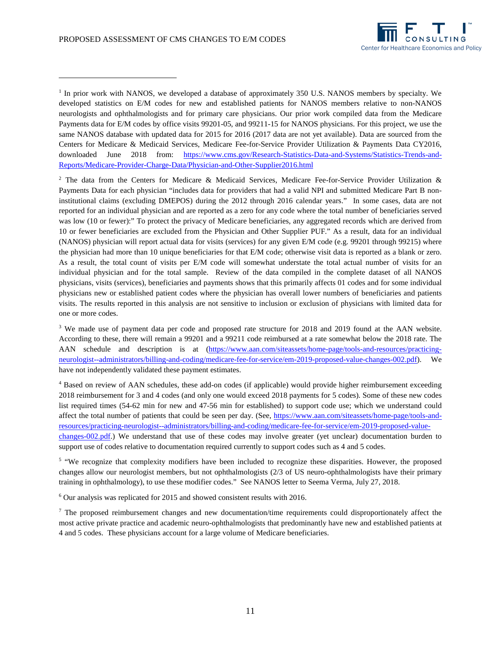-



<span id="page-11-0"></span><sup>1</sup> In prior work with NANOS, we developed a database of approximately 350 U.S. NANOS members by specialty. We developed statistics on E/M codes for new and established patients for NANOS members relative to non-NANOS neurologists and ophthalmologists and for primary care physicians. Our prior work compiled data from the Medicare Payments data for E/M codes by office visits 99201-05, and 99211-15 for NANOS physicians. For this project, we use the same NANOS database with updated data for 2015 for 2016 (2017 data are not yet available). Data are sourced from the Centers for Medicare & Medicaid Services, Medicare Fee-for-Service Provider Utilization & Payments Data CY2016, downloaded June 2018 from: [https://www.cms.gov/Research-Statistics-Data-and-Systems/Statistics-Trends-and-](https://www.cms.gov/Research-Statistics-Data-and-Systems/Statistics-Trends-and-Reports/Medicare-Provider-Charge-Data/Physician-and-Other-Supplier2016.html)[Reports/Medicare-Provider-Charge-Data/Physician-and-Other-Supplier2016.html](https://www.cms.gov/Research-Statistics-Data-and-Systems/Statistics-Trends-and-Reports/Medicare-Provider-Charge-Data/Physician-and-Other-Supplier2016.html)

<span id="page-11-1"></span><sup>2</sup> The data from the Centers for Medicare & Medicaid Services, Medicare Fee-for-Service Provider Utilization & Payments Data for each physician "includes data for providers that had a valid NPI and submitted Medicare Part B noninstitutional claims (excluding DMEPOS) during the 2012 through 2016 calendar years." In some cases, data are not reported for an individual physician and are reported as a zero for any code where the total number of beneficiaries served was low (10 or fewer):" To protect the privacy of Medicare beneficiaries, any aggregated records which are derived from 10 or fewer beneficiaries are excluded from the Physician and Other Supplier PUF." As a result, data for an individual (NANOS) physician will report actual data for visits (services) for any given E/M code (e.g. 99201 through 99215) where the physician had more than 10 unique beneficiaries for that E/M code; otherwise visit data is reported as a blank or zero. As a result, the total count of visits per E/M code will somewhat understate the total actual number of visits for an individual physician and for the total sample. Review of the data compiled in the complete dataset of all NANOS physicians, visits (services), beneficiaries and payments shows that this primarily affects 01 codes and for some individual physicians new or established patient codes where the physician has overall lower numbers of beneficiaries and patients visits. The results reported in this analysis are not sensitive to inclusion or exclusion of physicians with limited data for one or more codes.

<span id="page-11-2"></span><sup>3</sup> We made use of payment data per code and proposed rate structure for 2018 and 2019 found at the AAN website. According to these, there will remain a 99201 and a 99211 code reimbursed at a rate somewhat below the 2018 rate. The AAN schedule and description is at [\(https://www.aan.com/siteassets/home-page/tools-and-resources/practicing](https://www.aan.com/siteassets/home-page/tools-and-resources/practicing-neurologist--administrators/billing-and-coding/medicare-fee-for-service/em-2019-proposed-value-changes-002.pdf)[neurologist--administrators/billing-and-coding/medicare-fee-for-service/em-2019-proposed-value-changes-002.pdf\)](https://www.aan.com/siteassets/home-page/tools-and-resources/practicing-neurologist--administrators/billing-and-coding/medicare-fee-for-service/em-2019-proposed-value-changes-002.pdf). We have not independently validated these payment estimates.

<span id="page-11-3"></span><sup>4</sup> Based on review of AAN schedules, these add-on codes (if applicable) would provide higher reimbursement exceeding 2018 reimbursement for 3 and 4 codes (and only one would exceed 2018 payments for 5 codes). Some of these new codes list required times (54-62 min for new and 47-56 min for established) to support code use; which we understand could affect the total number of patients that could be seen per day. (See, [https://www.aan.com/siteassets/home-page/tools-and](https://na01.safelinks.protection.outlook.com/?url=https%3A%2F%2Fwww.aan.com%2Fsiteassets%2Fhome-page%2Ftools-and-resources%2Fpracticing-neurologist--administrators%2Fbilling-and-coding%2Fmedicare-fee-for-service%2Fem-2019-proposed-value-changes-002.pdf&data=02%7C01%7Cfrohman%40njms.rutgers.edu%7C377cda7617b4429a428d08d5f5bf4fd8%7Cb92d2b234d35447093ff69aca6632ffe%7C1%7C0%7C636685124408442016&sdata=PybduANWlpK1230kKt6X8JqhhTMHHN3Wu%2BbyxRfRHM8%3D&reserved=0)[resources/practicing-neurologist--administrators/billing-and-coding/medicare-fee-for-service/em-2019-proposed-value](https://na01.safelinks.protection.outlook.com/?url=https%3A%2F%2Fwww.aan.com%2Fsiteassets%2Fhome-page%2Ftools-and-resources%2Fpracticing-neurologist--administrators%2Fbilling-and-coding%2Fmedicare-fee-for-service%2Fem-2019-proposed-value-changes-002.pdf&data=02%7C01%7Cfrohman%40njms.rutgers.edu%7C377cda7617b4429a428d08d5f5bf4fd8%7Cb92d2b234d35447093ff69aca6632ffe%7C1%7C0%7C636685124408442016&sdata=PybduANWlpK1230kKt6X8JqhhTMHHN3Wu%2BbyxRfRHM8%3D&reserved=0)[changes-002.pdf.](https://na01.safelinks.protection.outlook.com/?url=https%3A%2F%2Fwww.aan.com%2Fsiteassets%2Fhome-page%2Ftools-and-resources%2Fpracticing-neurologist--administrators%2Fbilling-and-coding%2Fmedicare-fee-for-service%2Fem-2019-proposed-value-changes-002.pdf&data=02%7C01%7Cfrohman%40njms.rutgers.edu%7C377cda7617b4429a428d08d5f5bf4fd8%7Cb92d2b234d35447093ff69aca6632ffe%7C1%7C0%7C636685124408442016&sdata=PybduANWlpK1230kKt6X8JqhhTMHHN3Wu%2BbyxRfRHM8%3D&reserved=0)) We understand that use of these codes may involve greater (yet unclear) documentation burden to support use of codes relative to documentation required currently to support codes such as 4 and 5 codes.

<span id="page-11-4"></span><sup>5</sup> "We recognize that complexity modifiers have been included to recognize these disparities. However, the proposed changes allow our neurologist members, but not ophthalmologists (2/3 of US neuro-ophthalmologists have their primary training in ophthalmology), to use these modifier codes." See NANOS letter to Seema Verma, July 27, 2018.

<span id="page-11-5"></span><sup>6</sup> Our analysis was replicated for 2015 and showed consistent results with 2016.

<span id="page-11-6"></span> $\alpha$ <sup>7</sup> The proposed reimbursement changes and new documentation/time requirements could disproportionately affect the most active private practice and academic neuro-ophthalmologists that predominantly have new and established patients at 4 and 5 codes. These physicians account for a large volume of Medicare beneficiaries.